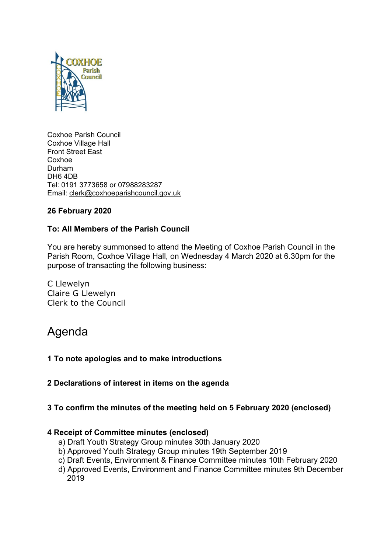

Coxhoe Parish Council Coxhoe Village Hall Front Street East Coxhoe Durham DH6 4DB Tel: 0191 3773658 or 07988283287 Email: [clerk@coxhoeparishcouncil.gov.uk](mailto:clerk@coxhoeparishcouncil.gov.uk)

# **26 February 2020**

# **To: All Members of the Parish Council**

You are hereby summonsed to attend the Meeting of Coxhoe Parish Council in the Parish Room, Coxhoe Village Hall, on Wednesday 4 March 2020 at 6.30pm for the purpose of transacting the following business:

C Llewelyn Claire G Llewelyn Clerk to the Council

# Agenda

- **1 To note apologies and to make introductions**
- **2 Declarations of interest in items on the agenda**

# **3 To confirm the minutes of the meeting held on 5 February 2020 (enclosed)**

## **4 Receipt of Committee minutes (enclosed)**

- a) Draft Youth Strategy Group minutes 30th January 2020
- b) Approved Youth Strategy Group minutes 19th September 2019
- c) Draft Events, Environment & Finance Committee minutes 10th February 2020
- d) Approved Events, Environment and Finance Committee minutes 9th December 2019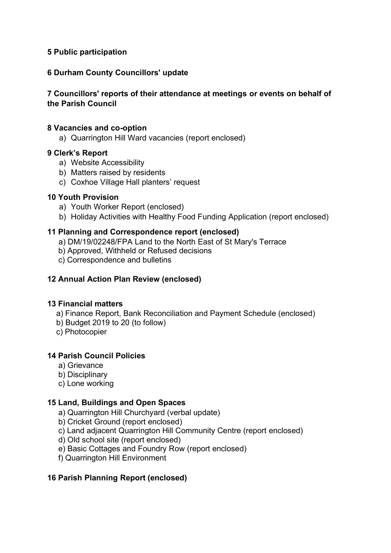# **5 Public participation**

# **6 Durham County Councillors' update**

# **7 Councillors' reports of their attendance at meetings or events on behalf of the Parish Council**

#### **8 Vacancies and co-option**

a) Quarrington Hill Ward vacancies (report enclosed)

## **9 Clerk's Report**

- a) Website Accessibility
- b) Matters raised by residents
- c) Coxhoe Village Hall planters' request

#### **10 Youth Provision**

- a) Youth Worker Report (enclosed)
- b) Holiday Activities with Healthy Food Funding Application (report enclosed)

## **11 Planning and Correspondence report (enclosed)**

- a) DM/19/02248/FPA Land to the North East of St Mary's Terrace
- b) Approved, Withheld or Refused decisions
- c) Correspondence and bulletins

## **12 Annual Action Plan Review (enclosed)**

#### **13 Financial matters**

- a) Finance Report, Bank Reconciliation and Payment Schedule (enclosed)
- b) Budget 2019 to 20 (to follow)
- c) Photocopier

## **14 Parish Council Policies**

- a) Grievance
- b) Disciplinary
- c) Lone working

## **15 Land, Buildings and Open Spaces**

- a) Quarrington Hill Churchyard (verbal update)
- b) Cricket Ground (report enclosed)
- c) Land adjacent Quarrington Hill Community Centre (report enclosed)
- d) Old school site (report enclosed)
- e) Basic Cottages and Foundry Row (report enclosed)
- f) Quarrington Hill Environment

## **16 Parish Planning Report (enclosed)**